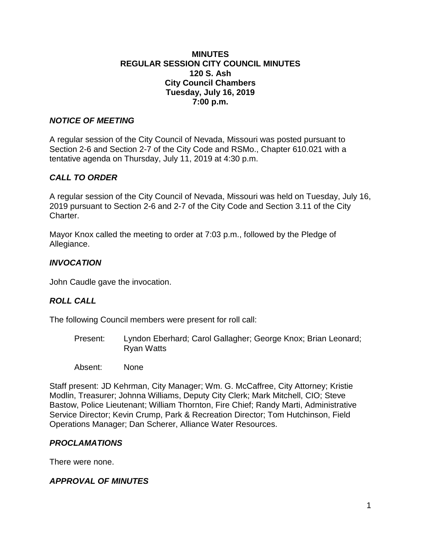#### **MINUTES REGULAR SESSION CITY COUNCIL MINUTES 120 S. Ash City Council Chambers Tuesday, July 16, 2019 7:00 p.m.**

### *NOTICE OF MEETING*

A regular session of the City Council of Nevada, Missouri was posted pursuant to Section 2-6 and Section 2-7 of the City Code and RSMo., Chapter 610.021 with a tentative agenda on Thursday, July 11, 2019 at 4:30 p.m.

# *CALL TO ORDER*

A regular session of the City Council of Nevada, Missouri was held on Tuesday, July 16, 2019 pursuant to Section 2-6 and 2-7 of the City Code and Section 3.11 of the City Charter.

Mayor Knox called the meeting to order at 7:03 p.m., followed by the Pledge of Allegiance.

### *INVOCATION*

John Caudle gave the invocation.

#### *ROLL CALL*

The following Council members were present for roll call:

- Present: Lyndon Eberhard; Carol Gallagher; George Knox; Brian Leonard; Ryan Watts
- Absent: None

Staff present: JD Kehrman, City Manager; Wm. G. McCaffree, City Attorney; Kristie Modlin, Treasurer; Johnna Williams, Deputy City Clerk; Mark Mitchell, CIO; Steve Bastow, Police Lieutenant; William Thornton, Fire Chief; Randy Marti, Administrative Service Director; Kevin Crump, Park & Recreation Director; Tom Hutchinson, Field Operations Manager; Dan Scherer, Alliance Water Resources.

#### *PROCLAMATIONS*

There were none.

# *APPROVAL OF MINUTES*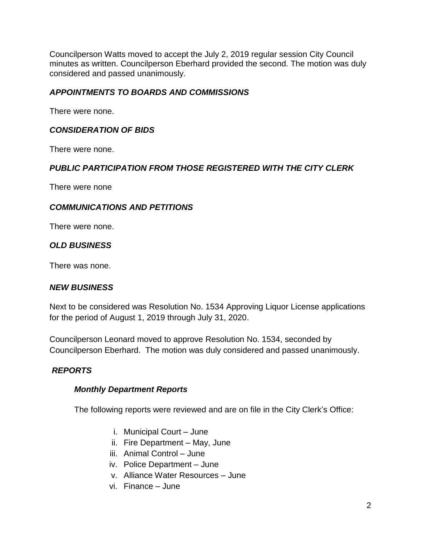Councilperson Watts moved to accept the July 2, 2019 regular session City Council minutes as written. Councilperson Eberhard provided the second. The motion was duly considered and passed unanimously.

## *APPOINTMENTS TO BOARDS AND COMMISSIONS*

There were none.

# *CONSIDERATION OF BIDS*

There were none.

# *PUBLIC PARTICIPATION FROM THOSE REGISTERED WITH THE CITY CLERK*

There were none

### *COMMUNICATIONS AND PETITIONS*

There were none.

# *OLD BUSINESS*

There was none.

#### *NEW BUSINESS*

Next to be considered was Resolution No. 1534 Approving Liquor License applications for the period of August 1, 2019 through July 31, 2020.

Councilperson Leonard moved to approve Resolution No. 1534, seconded by Councilperson Eberhard. The motion was duly considered and passed unanimously.

# *REPORTS*

#### *Monthly Department Reports*

The following reports were reviewed and are on file in the City Clerk's Office:

- i. Municipal Court June
- ii. Fire Department May, June
- iii. Animal Control June
- iv. Police Department June
- v. Alliance Water Resources June
- vi. Finance June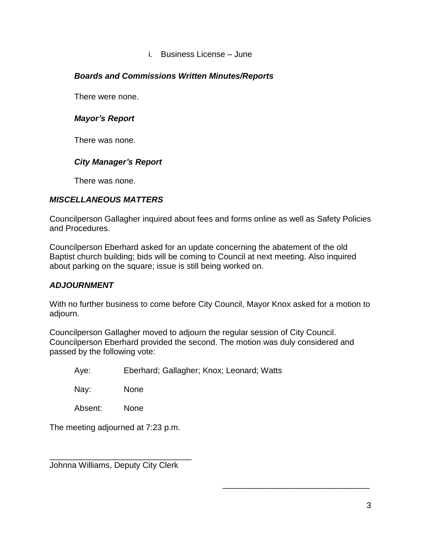#### i. Business License – June

### *Boards and Commissions Written Minutes/Reports*

There were none.

### *Mayor's Report*

There was none.

### *City Manager's Report*

There was none.

### *MISCELLANEOUS MATTERS*

Councilperson Gallagher inquired about fees and forms online as well as Safety Policies and Procedures.

Councilperson Eberhard asked for an update concerning the abatement of the old Baptist church building; bids will be coming to Council at next meeting. Also inquired about parking on the square; issue is still being worked on.

#### *ADJOURNMENT*

With no further business to come before City Council, Mayor Knox asked for a motion to adjourn.

Councilperson Gallagher moved to adjourn the regular session of City Council. Councilperson Eberhard provided the second. The motion was duly considered and passed by the following vote:

Aye: Eberhard; Gallagher; Knox; Leonard; Watts

Nay: None

Absent: None

The meeting adjourned at 7:23 p.m.

Johnna Williams, Deputy City Clerk

\_\_\_\_\_\_\_\_\_\_\_\_\_\_\_\_\_\_\_\_\_\_\_\_\_\_\_\_\_\_\_

\_\_\_\_\_\_\_\_\_\_\_\_\_\_\_\_\_\_\_\_\_\_\_\_\_\_\_\_\_\_\_\_